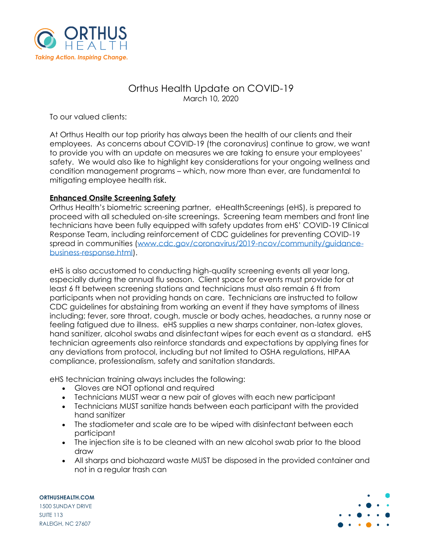

# Orthus Health Update on COVID-19 March 10, 2020

To our valued clients:

At Orthus Health our top priority has always been the health of our clients and their employees. As concerns about COVID-19 (the coronavirus) continue to grow, we want to provide you with an update on measures we are taking to ensure your employees' safety. We would also like to highlight key considerations for your ongoing wellness and condition management programs – which, now more than ever, are fundamental to mitigating employee health risk.

## **Enhanced Onsite Screening Safety**

Orthus Health's biometric screening partner, eHealthScreenings (eHS), is prepared to proceed with all scheduled on-site screenings. Screening team members and front line technicians have been fully equipped with safety updates from eHS' COVID-19 Clinical Response Team, including reinforcement of CDC guidelines for preventing COVID-19 spread in communities [\(www.cdc.gov/coronavirus/2019-ncov/community/guidance](http://www.cdc.gov/coronavirus/2019-ncov/community/guidance-business-response.html)[business-response.html\)](http://www.cdc.gov/coronavirus/2019-ncov/community/guidance-business-response.html).

eHS is also accustomed to conducting high-quality screening events all year long, especially during the annual flu season. Client space for events must provide for at least 6 ft between screening stations and technicians must also remain 6 ft from participants when not providing hands on care. Technicians are instructed to follow CDC guidelines for abstaining from working an event if they have symptoms of illness including; fever, sore throat, cough, muscle or body aches, headaches, a runny nose or feeling fatigued due to illness. eHS supplies a new sharps container, non-latex gloves, hand sanitizer, alcohol swabs and disinfectant wipes for each event as a standard. eHS technician agreements also reinforce standards and expectations by applying fines for any deviations from protocol, including but not limited to OSHA regulations, HIPAA compliance, professionalism, safety and sanitation standards.

eHS technician training always includes the following:

- Gloves are NOT optional and required
- Technicians MUST wear a new pair of gloves with each new participant
- Technicians MUST sanitize hands between each participant with the provided hand sanitizer
- The stadiometer and scale are to be wiped with disinfectant between each participant
- The injection site is to be cleaned with an new alcohol swab prior to the blood draw
- All sharps and biohazard waste MUST be disposed in the provided container and not in a regular trash can

**ORTHUSHEALTH.COM** 1500 SUNDAY DRIVE SUITE 113 RALEIGH, NC 27607

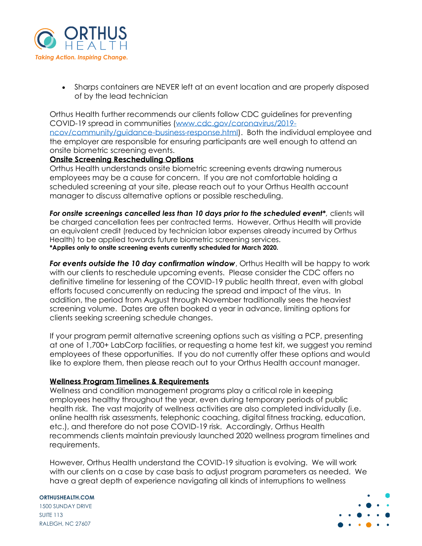

• Sharps containers are NEVER left at an event location and are properly disposed of by the lead technician

Orthus Health further recommends our clients follow CDC guidelines for preventing COVID-19 spread in communities [\(www.cdc.gov/coronavirus/2019](http://www.cdc.gov/coronavirus/2019-ncov/community/guidance-business-response.html) [ncov/community/guidance-business-response.html\)](http://www.cdc.gov/coronavirus/2019-ncov/community/guidance-business-response.html). Both the individual employee and the employer are responsible for ensuring participants are well enough to attend an onsite biometric screening events.

### **Onsite Screening Rescheduling Options**

Orthus Health understands onsite biometric screening events drawing numerous employees may be a cause for concern. If you are not comfortable holding a scheduled screening at your site, please reach out to your Orthus Health account manager to discuss alternative options or possible rescheduling.

*For onsite screenings cancelled less than 10 days prior to the scheduled event\*,* clients will be charged cancellation fees per contracted terms. However, Orthus Health will provide an equivalent credit (reduced by technician labor expenses already incurred by Orthus Health) to be applied towards future biometric screening services. **\*Applies only to onsite screening events currently scheduled for March 2020.**

*For events outside the 10 day confirmation window*, Orthus Health will be happy to work with our clients to reschedule upcoming events. Please consider the CDC offers no definitive timeline for lessening of the COVID-19 public health threat, even with global efforts focused concurrently on reducing the spread and impact of the virus. In addition, the period from August through November traditionally sees the heaviest screening volume. Dates are often booked a year in advance, limiting options for clients seeking screening schedule changes.

If your program permit alternative screening options such as visiting a PCP, presenting at one of 1,700+ LabCorp facilities, or requesting a home test kit, we suggest you remind employees of these opportunities. If you do not currently offer these options and would like to explore them, then please reach out to your Orthus Health account manager.

#### **Wellness Program Timelines & Requirements**

Wellness and condition management programs play a critical role in keeping employees healthy throughout the year, even during temporary periods of public health risk. The vast majority of wellness activities are also completed individually (i.e. online health risk assessments, telephonic coaching, digital fitness tracking, education, etc.), and therefore do not pose COVID-19 risk. Accordingly, Orthus Health recommends clients maintain previously launched 2020 wellness program timelines and requirements.

However, Orthus Health understand the COVID-19 situation is evolving. We will work with our clients on a case by case basis to adjust program parameters as needed. We have a great depth of experience navigating all kinds of interruptions to wellness

#### **ORTHUSHEALTH.COM**

1500 SUNDAY DRIVE SUITE 113 RALEIGH, NC 27607